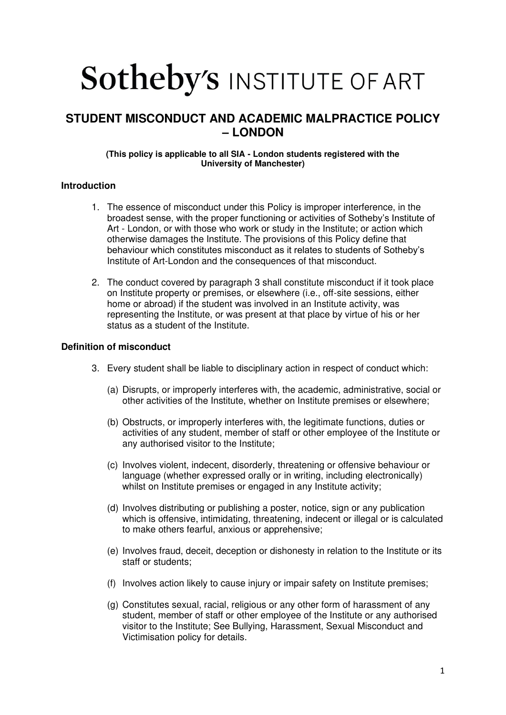# Sotheby's INSTITUTE OF ART

# **STUDENT MISCONDUCT AND ACADEMIC MALPRACTICE POLICY – LONDON**

## **(This policy is applicable to all SIA - London students registered with the University of Manchester)**

# **Introduction**

- 1. The essence of misconduct under this Policy is improper interference, in the broadest sense, with the proper functioning or activities of Sotheby's Institute of Art - London, or with those who work or study in the Institute; or action which otherwise damages the Institute. The provisions of this Policy define that behaviour which constitutes misconduct as it relates to students of Sotheby's Institute of Art-London and the consequences of that misconduct.
- 2. The conduct covered by paragraph 3 shall constitute misconduct if it took place on Institute property or premises, or elsewhere (i.e., off-site sessions, either home or abroad) if the student was involved in an Institute activity, was representing the Institute, or was present at that place by virtue of his or her status as a student of the Institute.

# **Definition of misconduct**

- 3. Every student shall be liable to disciplinary action in respect of conduct which:
	- (a) Disrupts, or improperly interferes with, the academic, administrative, social or other activities of the Institute, whether on Institute premises or elsewhere;
	- (b) Obstructs, or improperly interferes with, the legitimate functions, duties or activities of any student, member of staff or other employee of the Institute or any authorised visitor to the Institute;
	- (c) Involves violent, indecent, disorderly, threatening or offensive behaviour or language (whether expressed orally or in writing, including electronically) whilst on Institute premises or engaged in any Institute activity;
	- (d) Involves distributing or publishing a poster, notice, sign or any publication which is offensive, intimidating, threatening, indecent or illegal or is calculated to make others fearful, anxious or apprehensive;
	- (e) Involves fraud, deceit, deception or dishonesty in relation to the Institute or its staff or students;
	- (f) Involves action likely to cause injury or impair safety on Institute premises;
	- (g) Constitutes sexual, racial, religious or any other form of harassment of any student, member of staff or other employee of the Institute or any authorised visitor to the Institute; See Bullying, Harassment, Sexual Misconduct and Victimisation policy for details.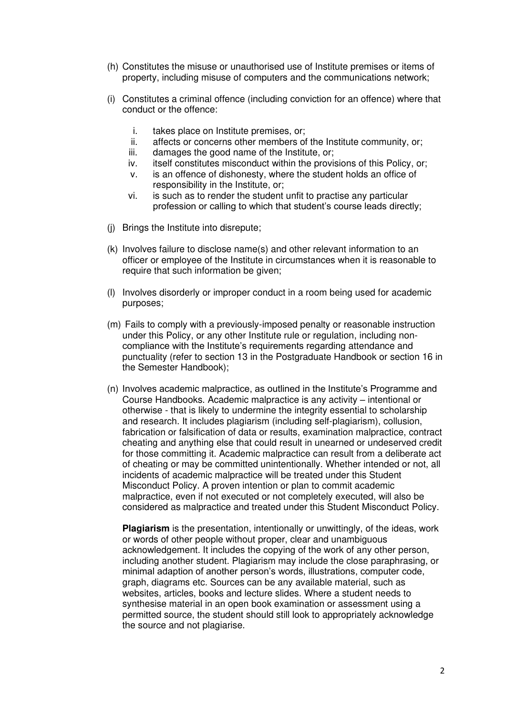- (h) Constitutes the misuse or unauthorised use of Institute premises or items of property, including misuse of computers and the communications network;
- (i) Constitutes a criminal offence (including conviction for an offence) where that conduct or the offence:
	- i. takes place on Institute premises, or;
	- ii. affects or concerns other members of the Institute community, or;
	- iii. damages the good name of the Institute, or;
	- iv. itself constitutes misconduct within the provisions of this Policy, or;
	- v. is an offence of dishonesty, where the student holds an office of responsibility in the Institute, or;
	- vi. is such as to render the student unfit to practise any particular profession or calling to which that student's course leads directly;
- (j) Brings the Institute into disrepute;
- (k) Involves failure to disclose name(s) and other relevant information to an officer or employee of the Institute in circumstances when it is reasonable to require that such information be given;
- (l) Involves disorderly or improper conduct in a room being used for academic purposes;
- (m) Fails to comply with a previously-imposed penalty or reasonable instruction under this Policy, or any other Institute rule or regulation, including noncompliance with the Institute's requirements regarding attendance and punctuality (refer to section 13 in the Postgraduate Handbook or section 16 in the Semester Handbook);
- (n) Involves academic malpractice, as outlined in the Institute's Programme and Course Handbooks. Academic malpractice is any activity – intentional or otherwise - that is likely to undermine the integrity essential to scholarship and research. It includes plagiarism (including self-plagiarism), collusion, fabrication or falsification of data or results, examination malpractice, contract cheating and anything else that could result in unearned or undeserved credit for those committing it. Academic malpractice can result from a deliberate act of cheating or may be committed unintentionally. Whether intended or not, all incidents of academic malpractice will be treated under this Student Misconduct Policy. A proven intention or plan to commit academic malpractice, even if not executed or not completely executed, will also be considered as malpractice and treated under this Student Misconduct Policy.

**Plagiarism** is the presentation, intentionally or unwittingly, of the ideas, work or words of other people without proper, clear and unambiguous acknowledgement. It includes the copying of the work of any other person, including another student. Plagiarism may include the close paraphrasing, or minimal adaption of another person's words, illustrations, computer code, graph, diagrams etc. Sources can be any available material, such as websites, articles, books and lecture slides. Where a student needs to synthesise material in an open book examination or assessment using a permitted source, the student should still look to appropriately acknowledge the source and not plagiarise.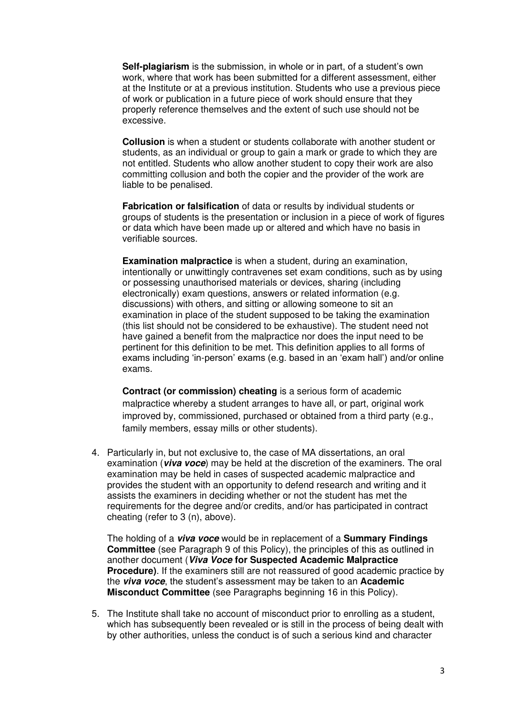**Self-plagiarism** is the submission, in whole or in part, of a student's own work, where that work has been submitted for a different assessment, either at the Institute or at a previous institution. Students who use a previous piece of work or publication in a future piece of work should ensure that they properly reference themselves and the extent of such use should not be excessive.

**Collusion** is when a student or students collaborate with another student or students, as an individual or group to gain a mark or grade to which they are not entitled. Students who allow another student to copy their work are also committing collusion and both the copier and the provider of the work are liable to be penalised.

**Fabrication or falsification** of data or results by individual students or groups of students is the presentation or inclusion in a piece of work of figures or data which have been made up or altered and which have no basis in verifiable sources.

**Examination malpractice** is when a student, during an examination, intentionally or unwittingly contravenes set exam conditions, such as by using or possessing unauthorised materials or devices, sharing (including electronically) exam questions, answers or related information (e.g. discussions) with others, and sitting or allowing someone to sit an examination in place of the student supposed to be taking the examination (this list should not be considered to be exhaustive). The student need not have gained a benefit from the malpractice nor does the input need to be pertinent for this definition to be met. This definition applies to all forms of exams including 'in-person' exams (e.g. based in an 'exam hall') and/or online exams.

**Contract (or commission) cheating** is a serious form of academic malpractice whereby a student arranges to have all, or part, original work improved by, commissioned, purchased or obtained from a third party (e.g., family members, essay mills or other students).

4. Particularly in, but not exclusive to, the case of MA dissertations, an oral examination (**viva voce**) may be held at the discretion of the examiners. The oral examination may be held in cases of suspected academic malpractice and provides the student with an opportunity to defend research and writing and it assists the examiners in deciding whether or not the student has met the requirements for the degree and/or credits, and/or has participated in contract cheating (refer to 3 (n), above).

The holding of a **viva voce** would be in replacement of a **Summary Findings Committee** (see Paragraph 9 of this Policy), the principles of this as outlined in another document (**Viva Voce for Suspected Academic Malpractice Procedure**). If the examiners still are not reassured of good academic practice by the **viva voce**, the student's assessment may be taken to an **Academic Misconduct Committee** (see Paragraphs beginning 16 in this Policy).

5. The Institute shall take no account of misconduct prior to enrolling as a student, which has subsequently been revealed or is still in the process of being dealt with by other authorities, unless the conduct is of such a serious kind and character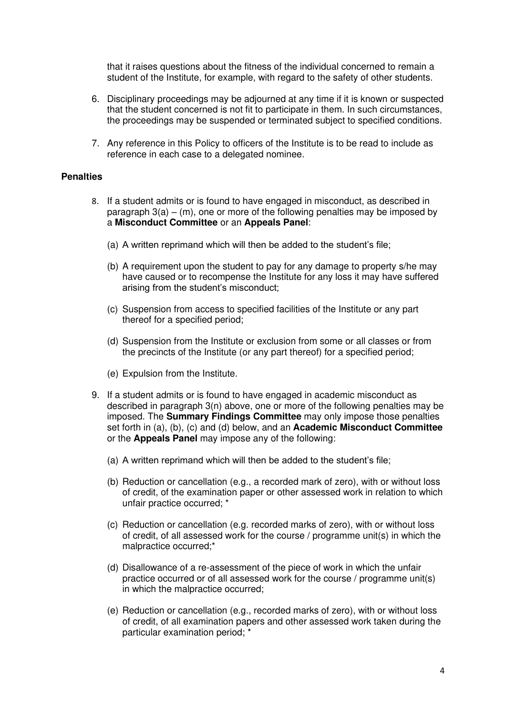that it raises questions about the fitness of the individual concerned to remain a student of the Institute, for example, with regard to the safety of other students.

- 6. Disciplinary proceedings may be adjourned at any time if it is known or suspected that the student concerned is not fit to participate in them. In such circumstances, the proceedings may be suspended or terminated subject to specified conditions.
- 7. Any reference in this Policy to officers of the Institute is to be read to include as reference in each case to a delegated nominee.

#### **Penalties**

- 8. If a student admits or is found to have engaged in misconduct, as described in paragraph  $3(a) - (m)$ , one or more of the following penalties may be imposed by a **Misconduct Committee** or an **Appeals Panel**:
	- (a) A written reprimand which will then be added to the student's file;
	- (b) A requirement upon the student to pay for any damage to property s/he may have caused or to recompense the Institute for any loss it may have suffered arising from the student's misconduct;
	- (c) Suspension from access to specified facilities of the Institute or any part thereof for a specified period;
	- (d) Suspension from the Institute or exclusion from some or all classes or from the precincts of the Institute (or any part thereof) for a specified period;
	- (e) Expulsion from the Institute.
- 9. If a student admits or is found to have engaged in academic misconduct as described in paragraph 3(n) above, one or more of the following penalties may be imposed. The **Summary Findings Committee** may only impose those penalties set forth in (a), (b), (c) and (d) below, and an **Academic Misconduct Committee** or the **Appeals Panel** may impose any of the following:
	- (a) A written reprimand which will then be added to the student's file;
	- (b) Reduction or cancellation (e.g., a recorded mark of zero), with or without loss of credit, of the examination paper or other assessed work in relation to which unfair practice occurred; \*
	- (c) Reduction or cancellation (e.g. recorded marks of zero), with or without loss of credit, of all assessed work for the course / programme unit(s) in which the malpractice occurred;\*
	- (d) Disallowance of a re-assessment of the piece of work in which the unfair practice occurred or of all assessed work for the course / programme unit(s) in which the malpractice occurred;
	- (e) Reduction or cancellation (e.g., recorded marks of zero), with or without loss of credit, of all examination papers and other assessed work taken during the particular examination period; \*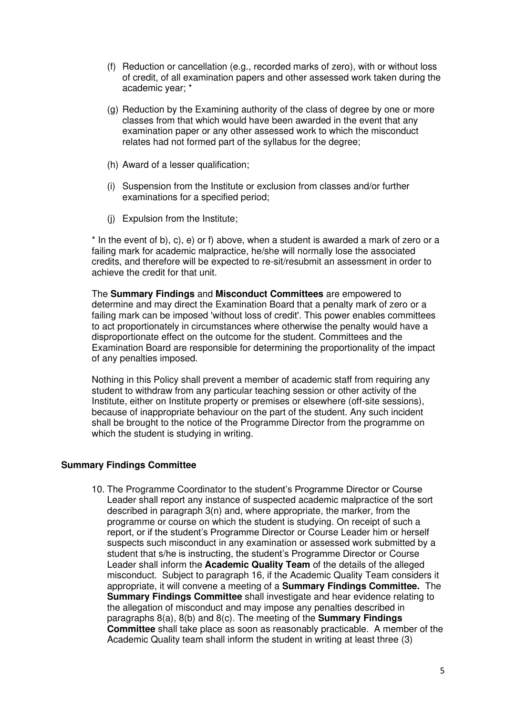- (f) Reduction or cancellation (e.g., recorded marks of zero), with or without loss of credit, of all examination papers and other assessed work taken during the academic year; \*
- (g) Reduction by the Examining authority of the class of degree by one or more classes from that which would have been awarded in the event that any examination paper or any other assessed work to which the misconduct relates had not formed part of the syllabus for the degree;
- (h) Award of a lesser qualification;
- (i) Suspension from the Institute or exclusion from classes and/or further examinations for a specified period;
- (j) Expulsion from the Institute;

\* In the event of b), c), e) or f) above, when a student is awarded a mark of zero or a failing mark for academic malpractice, he/she will normally lose the associated credits, and therefore will be expected to re-sit/resubmit an assessment in order to achieve the credit for that unit.

The **Summary Findings** and **Misconduct Committees** are empowered to determine and may direct the Examination Board that a penalty mark of zero or a failing mark can be imposed 'without loss of credit'. This power enables committees to act proportionately in circumstances where otherwise the penalty would have a disproportionate effect on the outcome for the student. Committees and the Examination Board are responsible for determining the proportionality of the impact of any penalties imposed.

Nothing in this Policy shall prevent a member of academic staff from requiring any student to withdraw from any particular teaching session or other activity of the Institute, either on Institute property or premises or elsewhere (off-site sessions), because of inappropriate behaviour on the part of the student. Any such incident shall be brought to the notice of the Programme Director from the programme on which the student is studying in writing.

## **Summary Findings Committee**

10. The Programme Coordinator to the student's Programme Director or Course Leader shall report any instance of suspected academic malpractice of the sort described in paragraph 3(n) and, where appropriate, the marker, from the programme or course on which the student is studying. On receipt of such a report, or if the student's Programme Director or Course Leader him or herself suspects such misconduct in any examination or assessed work submitted by a student that s/he is instructing, the student's Programme Director or Course Leader shall inform the **Academic Quality Team** of the details of the alleged misconduct. Subject to paragraph 16, if the Academic Quality Team considers it appropriate, it will convene a meeting of a **Summary Findings Committee.** The **Summary Findings Committee** shall investigate and hear evidence relating to the allegation of misconduct and may impose any penalties described in paragraphs 8(a), 8(b) and 8(c). The meeting of the **Summary Findings Committee** shall take place as soon as reasonably practicable. A member of the Academic Quality team shall inform the student in writing at least three (3)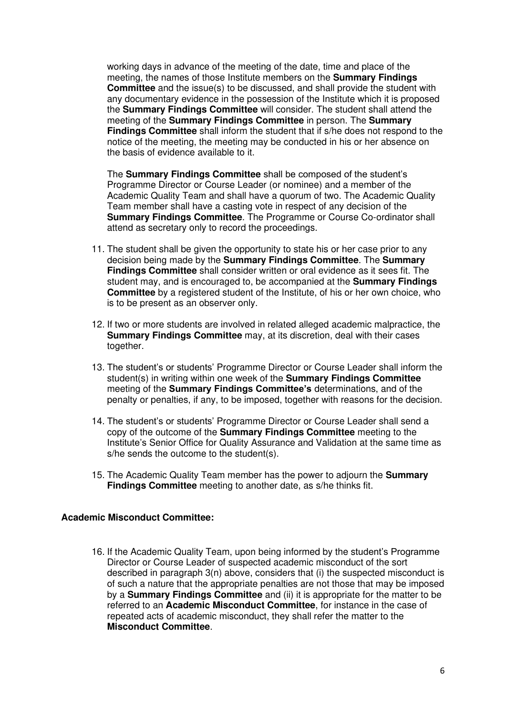working days in advance of the meeting of the date, time and place of the meeting, the names of those Institute members on the **Summary Findings Committee** and the issue(s) to be discussed, and shall provide the student with any documentary evidence in the possession of the Institute which it is proposed the **Summary Findings Committee** will consider. The student shall attend the meeting of the **Summary Findings Committee** in person. The **Summary Findings Committee** shall inform the student that if s/he does not respond to the notice of the meeting, the meeting may be conducted in his or her absence on the basis of evidence available to it.

The **Summary Findings Committee** shall be composed of the student's Programme Director or Course Leader (or nominee) and a member of the Academic Quality Team and shall have a quorum of two. The Academic Quality Team member shall have a casting vote in respect of any decision of the **Summary Findings Committee**. The Programme or Course Co-ordinator shall attend as secretary only to record the proceedings.

- 11. The student shall be given the opportunity to state his or her case prior to any decision being made by the **Summary Findings Committee**. The **Summary Findings Committee** shall consider written or oral evidence as it sees fit. The student may, and is encouraged to, be accompanied at the **Summary Findings Committee** by a registered student of the Institute, of his or her own choice, who is to be present as an observer only.
- 12. If two or more students are involved in related alleged academic malpractice, the **Summary Findings Committee** may, at its discretion, deal with their cases together.
- 13. The student's or students' Programme Director or Course Leader shall inform the student(s) in writing within one week of the **Summary Findings Committee** meeting of the **Summary Findings Committee's** determinations, and of the penalty or penalties, if any, to be imposed, together with reasons for the decision.
- 14. The student's or students' Programme Director or Course Leader shall send a copy of the outcome of the **Summary Findings Committee** meeting to the Institute's Senior Office for Quality Assurance and Validation at the same time as s/he sends the outcome to the student(s).
- 15. The Academic Quality Team member has the power to adjourn the **Summary Findings Committee** meeting to another date, as s/he thinks fit.

#### **Academic Misconduct Committee:**

16. If the Academic Quality Team, upon being informed by the student's Programme Director or Course Leader of suspected academic misconduct of the sort described in paragraph 3(n) above, considers that (i) the suspected misconduct is of such a nature that the appropriate penalties are not those that may be imposed by a **Summary Findings Committee** and (ii) it is appropriate for the matter to be referred to an **Academic Misconduct Committee**, for instance in the case of repeated acts of academic misconduct, they shall refer the matter to the **Misconduct Committee**.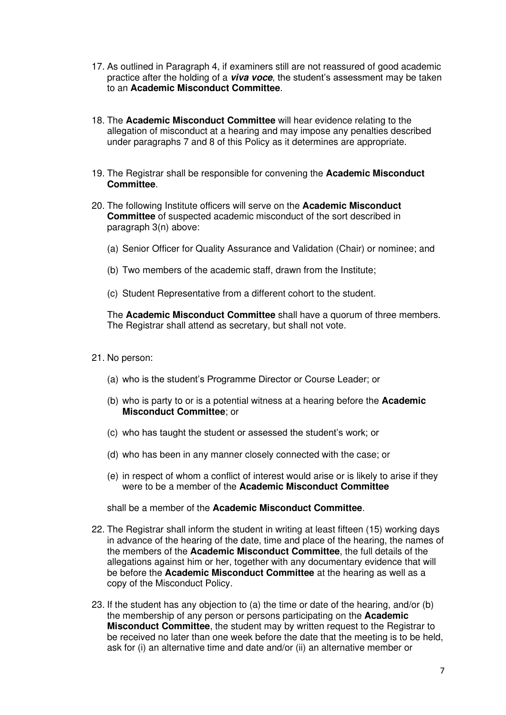- 17. As outlined in Paragraph 4, if examiners still are not reassured of good academic practice after the holding of a **viva voce**, the student's assessment may be taken to an **Academic Misconduct Committee**.
- 18. The **Academic Misconduct Committee** will hear evidence relating to the allegation of misconduct at a hearing and may impose any penalties described under paragraphs 7 and 8 of this Policy as it determines are appropriate.
- 19. The Registrar shall be responsible for convening the **Academic Misconduct Committee**.
- 20. The following Institute officers will serve on the **Academic Misconduct Committee** of suspected academic misconduct of the sort described in paragraph 3(n) above:
	- (a) Senior Officer for Quality Assurance and Validation (Chair) or nominee; and
	- (b) Two members of the academic staff, drawn from the Institute;
	- (c) Student Representative from a different cohort to the student.

The **Academic Misconduct Committee** shall have a quorum of three members. The Registrar shall attend as secretary, but shall not vote.

- 21. No person:
	- (a) who is the student's Programme Director or Course Leader; or
	- (b) who is party to or is a potential witness at a hearing before the **Academic Misconduct Committee**; or
	- (c) who has taught the student or assessed the student's work; or
	- (d) who has been in any manner closely connected with the case; or
	- (e) in respect of whom a conflict of interest would arise or is likely to arise if they were to be a member of the **Academic Misconduct Committee**

shall be a member of the **Academic Misconduct Committee**.

- 22. The Registrar shall inform the student in writing at least fifteen (15) working days in advance of the hearing of the date, time and place of the hearing, the names of the members of the **Academic Misconduct Committee**, the full details of the allegations against him or her, together with any documentary evidence that will be before the **Academic Misconduct Committee** at the hearing as well as a copy of the Misconduct Policy.
- 23. If the student has any objection to (a) the time or date of the hearing, and/or (b) the membership of any person or persons participating on the **Academic Misconduct Committee**, the student may by written request to the Registrar to be received no later than one week before the date that the meeting is to be held, ask for (i) an alternative time and date and/or (ii) an alternative member or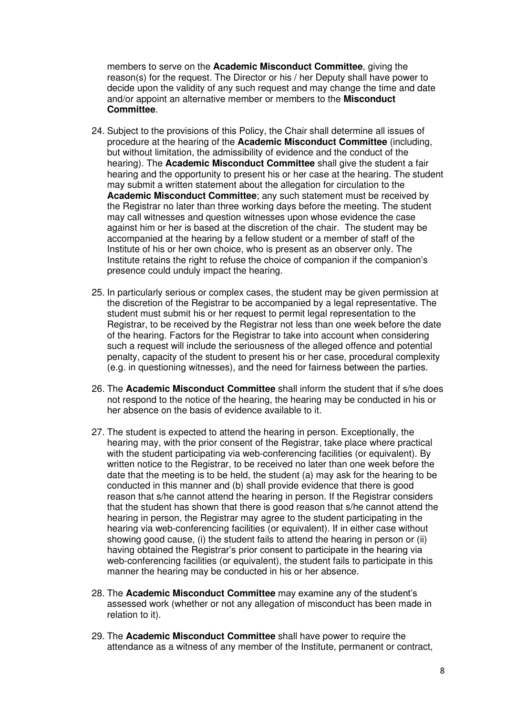members to serve on the **Academic Misconduct Committee**, giving the reason(s) for the request. The Director or his / her Deputy shall have power to decide upon the validity of any such request and may change the time and date and/or appoint an alternative member or members to the **Misconduct Committee**.

- 24. Subject to the provisions of this Policy, the Chair shall determine all issues of procedure at the hearing of the **Academic Misconduct Committee** (including, but without limitation, the admissibility of evidence and the conduct of the hearing). The **Academic Misconduct Committee** shall give the student a fair hearing and the opportunity to present his or her case at the hearing. The student may submit a written statement about the allegation for circulation to the **Academic Misconduct Committee**; any such statement must be received by the Registrar no later than three working days before the meeting. The student may call witnesses and question witnesses upon whose evidence the case against him or her is based at the discretion of the chair. The student may be accompanied at the hearing by a fellow student or a member of staff of the Institute of his or her own choice, who is present as an observer only. The Institute retains the right to refuse the choice of companion if the companion's presence could unduly impact the hearing.
- 25. In particularly serious or complex cases, the student may be given permission at the discretion of the Registrar to be accompanied by a legal representative. The student must submit his or her request to permit legal representation to the Registrar, to be received by the Registrar not less than one week before the date of the hearing. Factors for the Registrar to take into account when considering such a request will include the seriousness of the alleged offence and potential penalty, capacity of the student to present his or her case, procedural complexity (e.g. in questioning witnesses), and the need for fairness between the parties.
- 26. The **Academic Misconduct Committee** shall inform the student that if s/he does not respond to the notice of the hearing, the hearing may be conducted in his or her absence on the basis of evidence available to it.
- 27. The student is expected to attend the hearing in person. Exceptionally, the hearing may, with the prior consent of the Registrar, take place where practical with the student participating via web-conferencing facilities (or equivalent). By written notice to the Registrar, to be received no later than one week before the date that the meeting is to be held, the student (a) may ask for the hearing to be conducted in this manner and (b) shall provide evidence that there is good reason that s/he cannot attend the hearing in person. If the Registrar considers that the student has shown that there is good reason that s/he cannot attend the hearing in person, the Registrar may agree to the student participating in the hearing via web-conferencing facilities (or equivalent). If in either case without showing good cause, (i) the student fails to attend the hearing in person or (ii) having obtained the Registrar's prior consent to participate in the hearing via web-conferencing facilities (or equivalent), the student fails to participate in this manner the hearing may be conducted in his or her absence.
- 28. The **Academic Misconduct Committee** may examine any of the student's assessed work (whether or not any allegation of misconduct has been made in relation to it).
- 29. The **Academic Misconduct Committee** shall have power to require the attendance as a witness of any member of the Institute, permanent or contract,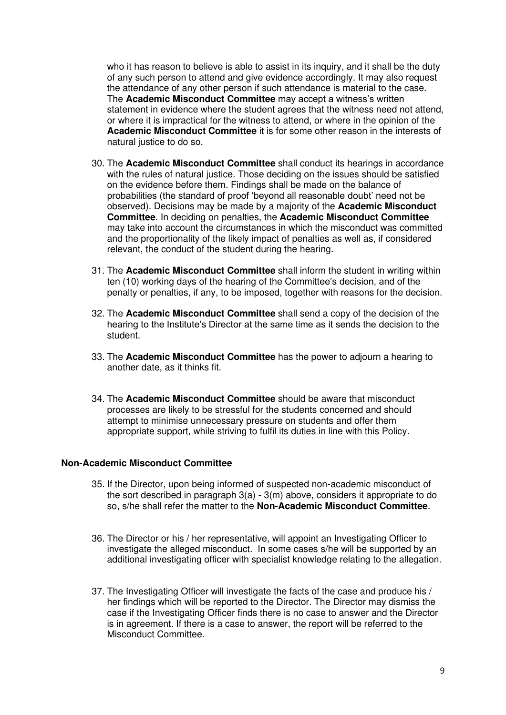who it has reason to believe is able to assist in its inquiry, and it shall be the duty of any such person to attend and give evidence accordingly. It may also request the attendance of any other person if such attendance is material to the case. The **Academic Misconduct Committee** may accept a witness's written statement in evidence where the student agrees that the witness need not attend, or where it is impractical for the witness to attend, or where in the opinion of the **Academic Misconduct Committee** it is for some other reason in the interests of natural justice to do so.

- 30. The **Academic Misconduct Committee** shall conduct its hearings in accordance with the rules of natural justice. Those deciding on the issues should be satisfied on the evidence before them. Findings shall be made on the balance of probabilities (the standard of proof 'beyond all reasonable doubt' need not be observed). Decisions may be made by a majority of the **Academic Misconduct Committee**. In deciding on penalties, the **Academic Misconduct Committee** may take into account the circumstances in which the misconduct was committed and the proportionality of the likely impact of penalties as well as, if considered relevant, the conduct of the student during the hearing.
- 31. The **Academic Misconduct Committee** shall inform the student in writing within ten (10) working days of the hearing of the Committee's decision, and of the penalty or penalties, if any, to be imposed, together with reasons for the decision.
- 32. The **Academic Misconduct Committee** shall send a copy of the decision of the hearing to the Institute's Director at the same time as it sends the decision to the student.
- 33. The **Academic Misconduct Committee** has the power to adjourn a hearing to another date, as it thinks fit.
- 34. The **Academic Misconduct Committee** should be aware that misconduct processes are likely to be stressful for the students concerned and should attempt to minimise unnecessary pressure on students and offer them appropriate support, while striving to fulfil its duties in line with this Policy.

#### **Non-Academic Misconduct Committee**

- 35. If the Director, upon being informed of suspected non-academic misconduct of the sort described in paragraph 3(a) - 3(m) above, considers it appropriate to do so, s/he shall refer the matter to the **Non-Academic Misconduct Committee**.
- 36. The Director or his / her representative, will appoint an Investigating Officer to investigate the alleged misconduct. In some cases s/he will be supported by an additional investigating officer with specialist knowledge relating to the allegation.
- 37. The Investigating Officer will investigate the facts of the case and produce his / her findings which will be reported to the Director. The Director may dismiss the case if the Investigating Officer finds there is no case to answer and the Director is in agreement. If there is a case to answer, the report will be referred to the Misconduct Committee.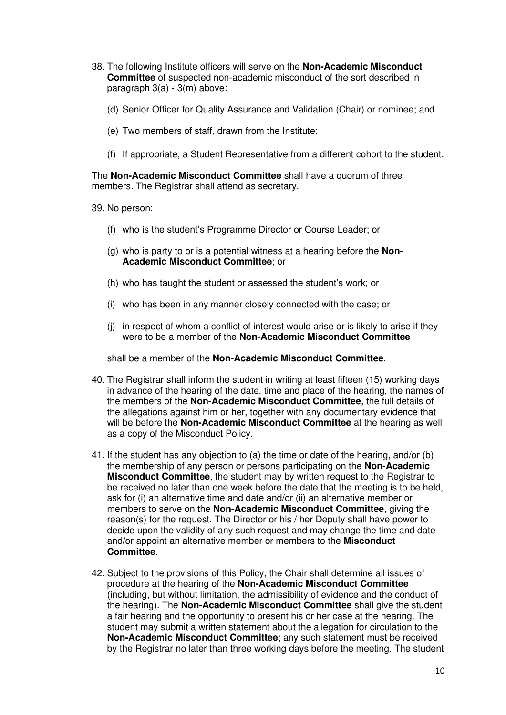- 38. The following Institute officers will serve on the **Non-Academic Misconduct Committee** of suspected non-academic misconduct of the sort described in paragraph 3(a) - 3(m) above:
	- (d) Senior Officer for Quality Assurance and Validation (Chair) or nominee; and
	- (e) Two members of staff, drawn from the Institute;
	- (f) If appropriate, a Student Representative from a different cohort to the student.

The **Non-Academic Misconduct Committee** shall have a quorum of three members. The Registrar shall attend as secretary.

39. No person:

- (f) who is the student's Programme Director or Course Leader; or
- (g) who is party to or is a potential witness at a hearing before the **Non-Academic Misconduct Committee**; or
- (h) who has taught the student or assessed the student's work; or
- (i) who has been in any manner closely connected with the case; or
- (j) in respect of whom a conflict of interest would arise or is likely to arise if they were to be a member of the **Non-Academic Misconduct Committee**

shall be a member of the **Non-Academic Misconduct Committee**.

- 40. The Registrar shall inform the student in writing at least fifteen (15) working days in advance of the hearing of the date, time and place of the hearing, the names of the members of the **Non-Academic Misconduct Committee**, the full details of the allegations against him or her, together with any documentary evidence that will be before the **Non-Academic Misconduct Committee** at the hearing as well as a copy of the Misconduct Policy.
- 41. If the student has any objection to (a) the time or date of the hearing, and/or (b) the membership of any person or persons participating on the **Non-Academic Misconduct Committee**, the student may by written request to the Registrar to be received no later than one week before the date that the meeting is to be held, ask for (i) an alternative time and date and/or (ii) an alternative member or members to serve on the **Non-Academic Misconduct Committee**, giving the reason(s) for the request. The Director or his / her Deputy shall have power to decide upon the validity of any such request and may change the time and date and/or appoint an alternative member or members to the **Misconduct Committee**.
- 42. Subject to the provisions of this Policy, the Chair shall determine all issues of procedure at the hearing of the **Non-Academic Misconduct Committee** (including, but without limitation, the admissibility of evidence and the conduct of the hearing). The **Non-Academic Misconduct Committee** shall give the student a fair hearing and the opportunity to present his or her case at the hearing. The student may submit a written statement about the allegation for circulation to the **Non-Academic Misconduct Committee**; any such statement must be received by the Registrar no later than three working days before the meeting. The student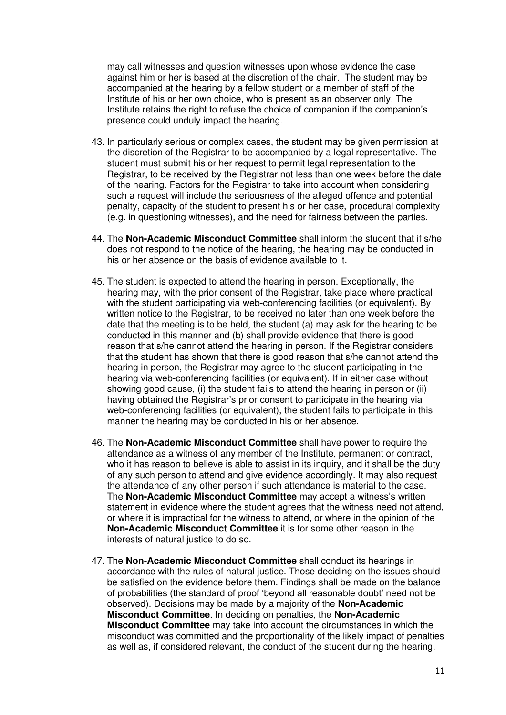may call witnesses and question witnesses upon whose evidence the case against him or her is based at the discretion of the chair. The student may be accompanied at the hearing by a fellow student or a member of staff of the Institute of his or her own choice, who is present as an observer only. The Institute retains the right to refuse the choice of companion if the companion's presence could unduly impact the hearing.

- 43. In particularly serious or complex cases, the student may be given permission at the discretion of the Registrar to be accompanied by a legal representative. The student must submit his or her request to permit legal representation to the Registrar, to be received by the Registrar not less than one week before the date of the hearing. Factors for the Registrar to take into account when considering such a request will include the seriousness of the alleged offence and potential penalty, capacity of the student to present his or her case, procedural complexity (e.g. in questioning witnesses), and the need for fairness between the parties.
- 44. The **Non-Academic Misconduct Committee** shall inform the student that if s/he does not respond to the notice of the hearing, the hearing may be conducted in his or her absence on the basis of evidence available to it.
- 45. The student is expected to attend the hearing in person. Exceptionally, the hearing may, with the prior consent of the Registrar, take place where practical with the student participating via web-conferencing facilities (or equivalent). By written notice to the Registrar, to be received no later than one week before the date that the meeting is to be held, the student (a) may ask for the hearing to be conducted in this manner and (b) shall provide evidence that there is good reason that s/he cannot attend the hearing in person. If the Registrar considers that the student has shown that there is good reason that s/he cannot attend the hearing in person, the Registrar may agree to the student participating in the hearing via web-conferencing facilities (or equivalent). If in either case without showing good cause, (i) the student fails to attend the hearing in person or (ii) having obtained the Registrar's prior consent to participate in the hearing via web-conferencing facilities (or equivalent), the student fails to participate in this manner the hearing may be conducted in his or her absence.
- 46. The **Non-Academic Misconduct Committee** shall have power to require the attendance as a witness of any member of the Institute, permanent or contract, who it has reason to believe is able to assist in its inquiry, and it shall be the duty of any such person to attend and give evidence accordingly. It may also request the attendance of any other person if such attendance is material to the case. The **Non-Academic Misconduct Committee** may accept a witness's written statement in evidence where the student agrees that the witness need not attend, or where it is impractical for the witness to attend, or where in the opinion of the **Non-Academic Misconduct Committee** it is for some other reason in the interests of natural justice to do so.
- 47. The **Non-Academic Misconduct Committee** shall conduct its hearings in accordance with the rules of natural justice. Those deciding on the issues should be satisfied on the evidence before them. Findings shall be made on the balance of probabilities (the standard of proof 'beyond all reasonable doubt' need not be observed). Decisions may be made by a majority of the **Non-Academic Misconduct Committee**. In deciding on penalties, the **Non-Academic Misconduct Committee** may take into account the circumstances in which the misconduct was committed and the proportionality of the likely impact of penalties as well as, if considered relevant, the conduct of the student during the hearing.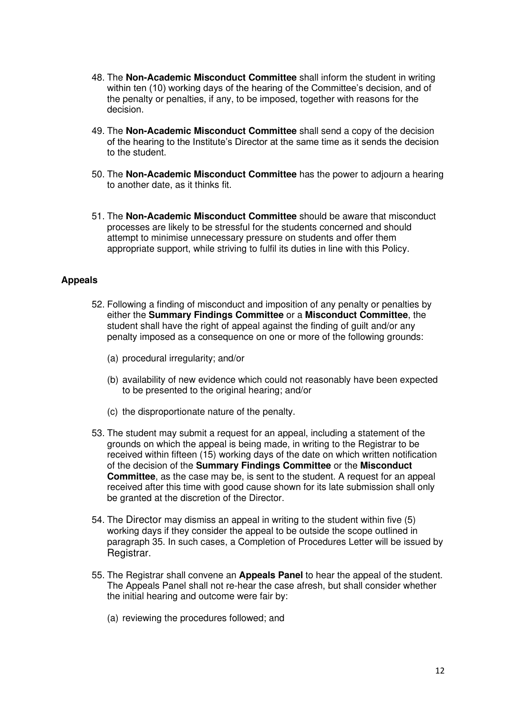- 48. The **Non-Academic Misconduct Committee** shall inform the student in writing within ten (10) working days of the hearing of the Committee's decision, and of the penalty or penalties, if any, to be imposed, together with reasons for the decision.
- 49. The **Non-Academic Misconduct Committee** shall send a copy of the decision of the hearing to the Institute's Director at the same time as it sends the decision to the student.
- 50. The **Non-Academic Misconduct Committee** has the power to adjourn a hearing to another date, as it thinks fit.
- 51. The **Non-Academic Misconduct Committee** should be aware that misconduct processes are likely to be stressful for the students concerned and should attempt to minimise unnecessary pressure on students and offer them appropriate support, while striving to fulfil its duties in line with this Policy.

## **Appeals**

- 52. Following a finding of misconduct and imposition of any penalty or penalties by either the **Summary Findings Committee** or a **Misconduct Committee**, the student shall have the right of appeal against the finding of guilt and/or any penalty imposed as a consequence on one or more of the following grounds:
	- (a) procedural irregularity; and/or
	- (b) availability of new evidence which could not reasonably have been expected to be presented to the original hearing; and/or
	- (c) the disproportionate nature of the penalty.
- 53. The student may submit a request for an appeal, including a statement of the grounds on which the appeal is being made, in writing to the Registrar to be received within fifteen (15) working days of the date on which written notification of the decision of the **Summary Findings Committee** or the **Misconduct Committee**, as the case may be, is sent to the student. A request for an appeal received after this time with good cause shown for its late submission shall only be granted at the discretion of the Director.
- 54. The Director may dismiss an appeal in writing to the student within five (5) working days if they consider the appeal to be outside the scope outlined in paragraph 35. In such cases, a Completion of Procedures Letter will be issued by Registrar.
- 55. The Registrar shall convene an **Appeals Panel** to hear the appeal of the student. The Appeals Panel shall not re-hear the case afresh, but shall consider whether the initial hearing and outcome were fair by:
	- (a) reviewing the procedures followed; and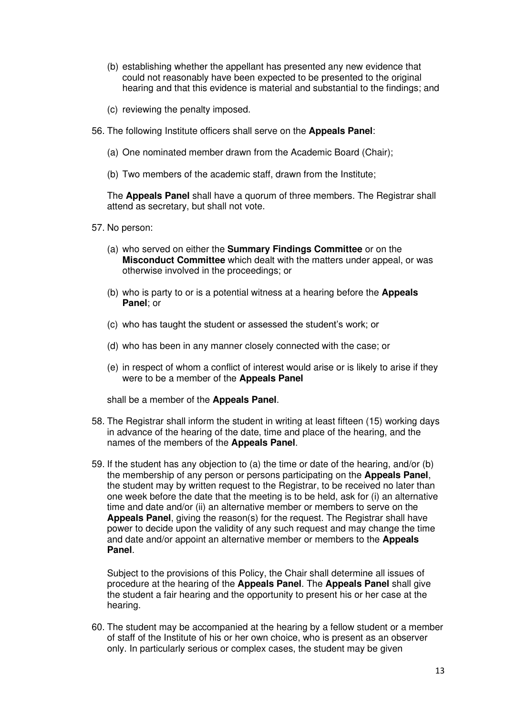- (b) establishing whether the appellant has presented any new evidence that could not reasonably have been expected to be presented to the original hearing and that this evidence is material and substantial to the findings; and
- (c) reviewing the penalty imposed.
- 56. The following Institute officers shall serve on the **Appeals Panel**:
	- (a) One nominated member drawn from the Academic Board (Chair);
	- (b) Two members of the academic staff, drawn from the Institute;

The **Appeals Panel** shall have a quorum of three members. The Registrar shall attend as secretary, but shall not vote.

- 57. No person:
	- (a) who served on either the **Summary Findings Committee** or on the **Misconduct Committee** which dealt with the matters under appeal, or was otherwise involved in the proceedings; or
	- (b) who is party to or is a potential witness at a hearing before the **Appeals Panel**; or
	- (c) who has taught the student or assessed the student's work; or
	- (d) who has been in any manner closely connected with the case; or
	- (e) in respect of whom a conflict of interest would arise or is likely to arise if they were to be a member of the **Appeals Panel**

shall be a member of the **Appeals Panel**.

- 58. The Registrar shall inform the student in writing at least fifteen (15) working days in advance of the hearing of the date, time and place of the hearing, and the names of the members of the **Appeals Panel**.
- 59. If the student has any objection to (a) the time or date of the hearing, and/or (b) the membership of any person or persons participating on the **Appeals Panel**, the student may by written request to the Registrar, to be received no later than one week before the date that the meeting is to be held, ask for (i) an alternative time and date and/or (ii) an alternative member or members to serve on the **Appeals Panel**, giving the reason(s) for the request. The Registrar shall have power to decide upon the validity of any such request and may change the time and date and/or appoint an alternative member or members to the **Appeals Panel**.

Subject to the provisions of this Policy, the Chair shall determine all issues of procedure at the hearing of the **Appeals Panel**. The **Appeals Panel** shall give the student a fair hearing and the opportunity to present his or her case at the hearing.

60. The student may be accompanied at the hearing by a fellow student or a member of staff of the Institute of his or her own choice, who is present as an observer only. In particularly serious or complex cases, the student may be given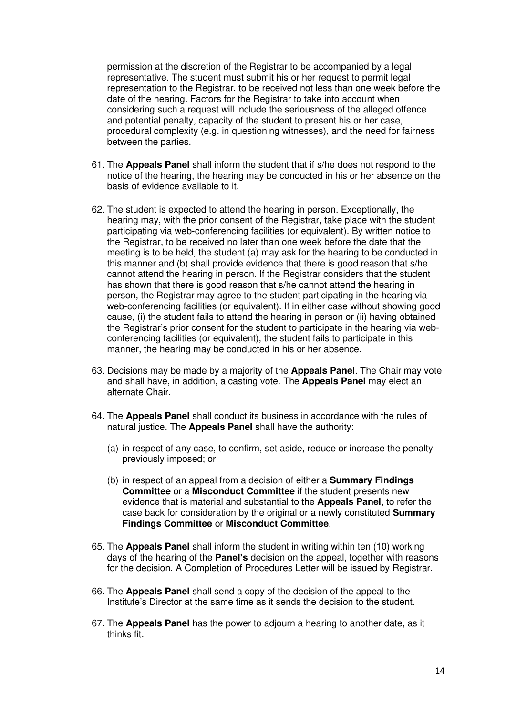permission at the discretion of the Registrar to be accompanied by a legal representative. The student must submit his or her request to permit legal representation to the Registrar, to be received not less than one week before the date of the hearing. Factors for the Registrar to take into account when considering such a request will include the seriousness of the alleged offence and potential penalty, capacity of the student to present his or her case, procedural complexity (e.g. in questioning witnesses), and the need for fairness between the parties.

- 61. The **Appeals Panel** shall inform the student that if s/he does not respond to the notice of the hearing, the hearing may be conducted in his or her absence on the basis of evidence available to it.
- 62. The student is expected to attend the hearing in person. Exceptionally, the hearing may, with the prior consent of the Registrar, take place with the student participating via web-conferencing facilities (or equivalent). By written notice to the Registrar, to be received no later than one week before the date that the meeting is to be held, the student (a) may ask for the hearing to be conducted in this manner and (b) shall provide evidence that there is good reason that s/he cannot attend the hearing in person. If the Registrar considers that the student has shown that there is good reason that s/he cannot attend the hearing in person, the Registrar may agree to the student participating in the hearing via web-conferencing facilities (or equivalent). If in either case without showing good cause, (i) the student fails to attend the hearing in person or (ii) having obtained the Registrar's prior consent for the student to participate in the hearing via webconferencing facilities (or equivalent), the student fails to participate in this manner, the hearing may be conducted in his or her absence.
- 63. Decisions may be made by a majority of the **Appeals Panel**. The Chair may vote and shall have, in addition, a casting vote. The **Appeals Panel** may elect an alternate Chair.
- 64. The **Appeals Panel** shall conduct its business in accordance with the rules of natural justice. The **Appeals Panel** shall have the authority:
	- (a) in respect of any case, to confirm, set aside, reduce or increase the penalty previously imposed; or
	- (b) in respect of an appeal from a decision of either a **Summary Findings Committee** or a **Misconduct Committee** if the student presents new evidence that is material and substantial to the **Appeals Panel**, to refer the case back for consideration by the original or a newly constituted **Summary Findings Committee** or **Misconduct Committee**.
- 65. The **Appeals Panel** shall inform the student in writing within ten (10) working days of the hearing of the **Panel's** decision on the appeal, together with reasons for the decision. A Completion of Procedures Letter will be issued by Registrar.
- 66. The **Appeals Panel** shall send a copy of the decision of the appeal to the Institute's Director at the same time as it sends the decision to the student.
- 67. The **Appeals Panel** has the power to adjourn a hearing to another date, as it thinks fit.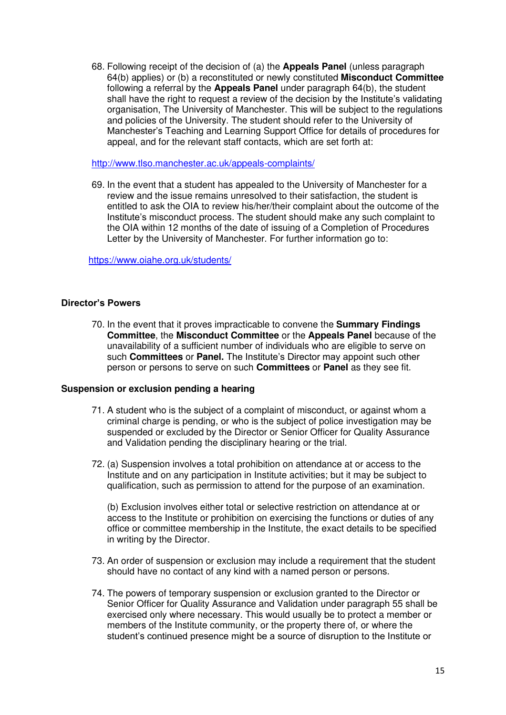68. Following receipt of the decision of (a) the **Appeals Panel** (unless paragraph 64(b) applies) or (b) a reconstituted or newly constituted **Misconduct Committee** following a referral by the **Appeals Panel** under paragraph 64(b), the student shall have the right to request a review of the decision by the Institute's validating organisation, The University of Manchester. This will be subject to the regulations and policies of the University. The student should refer to the University of Manchester's Teaching and Learning Support Office for details of procedures for appeal, and for the relevant staff contacts, which are set forth at:

<http://www.tlso.manchester.ac.uk/appeals-complaints/>

69. In the event that a student has appealed to the University of Manchester for a review and the issue remains unresolved to their satisfaction, the student is entitled to ask the OIA to review his/her/their complaint about the outcome of the Institute's misconduct process. The student should make any such complaint to the OIA within 12 months of the date of issuing of a Completion of Procedures Letter by the University of Manchester. For further information go to:

<https://www.oiahe.org.uk/students/>

## **Director's Powers**

70. In the event that it proves impracticable to convene the **Summary Findings Committee**, the **Misconduct Committee** or the **Appeals Panel** because of the unavailability of a sufficient number of individuals who are eligible to serve on such **Committees** or **Panel.** The Institute's Director may appoint such other person or persons to serve on such **Committees** or **Panel** as they see fit.

#### **Suspension or exclusion pending a hearing**

- 71. A student who is the subject of a complaint of misconduct, or against whom a criminal charge is pending, or who is the subject of police investigation may be suspended or excluded by the Director or Senior Officer for Quality Assurance and Validation pending the disciplinary hearing or the trial.
- 72. (a) Suspension involves a total prohibition on attendance at or access to the Institute and on any participation in Institute activities; but it may be subject to qualification, such as permission to attend for the purpose of an examination.

(b) Exclusion involves either total or selective restriction on attendance at or access to the Institute or prohibition on exercising the functions or duties of any office or committee membership in the Institute, the exact details to be specified in writing by the Director.

- 73. An order of suspension or exclusion may include a requirement that the student should have no contact of any kind with a named person or persons.
- 74. The powers of temporary suspension or exclusion granted to the Director or Senior Officer for Quality Assurance and Validation under paragraph 55 shall be exercised only where necessary. This would usually be to protect a member or members of the Institute community, or the property there of, or where the student's continued presence might be a source of disruption to the Institute or